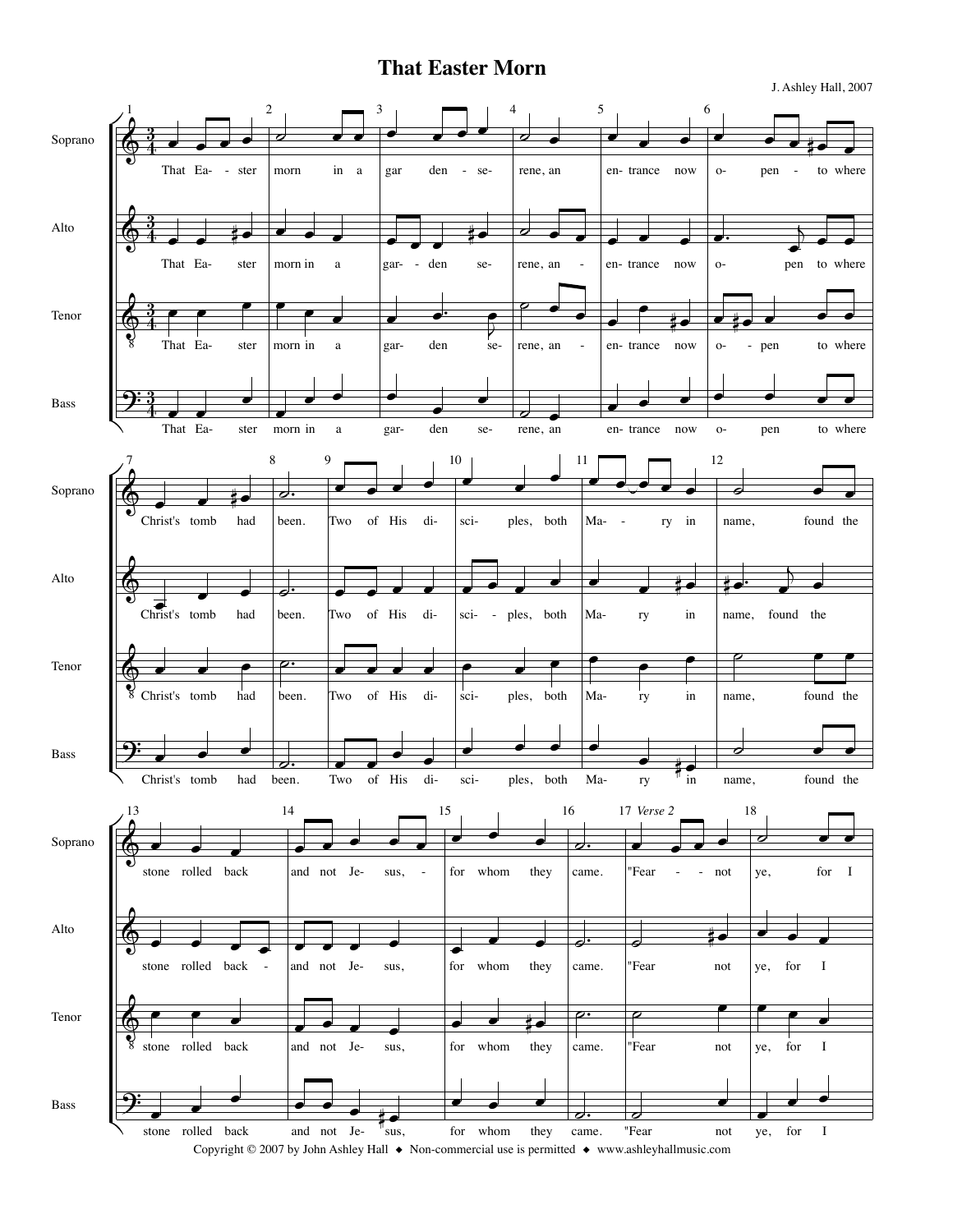## **That Easter Morn**

J. Ashley Hall, 2007

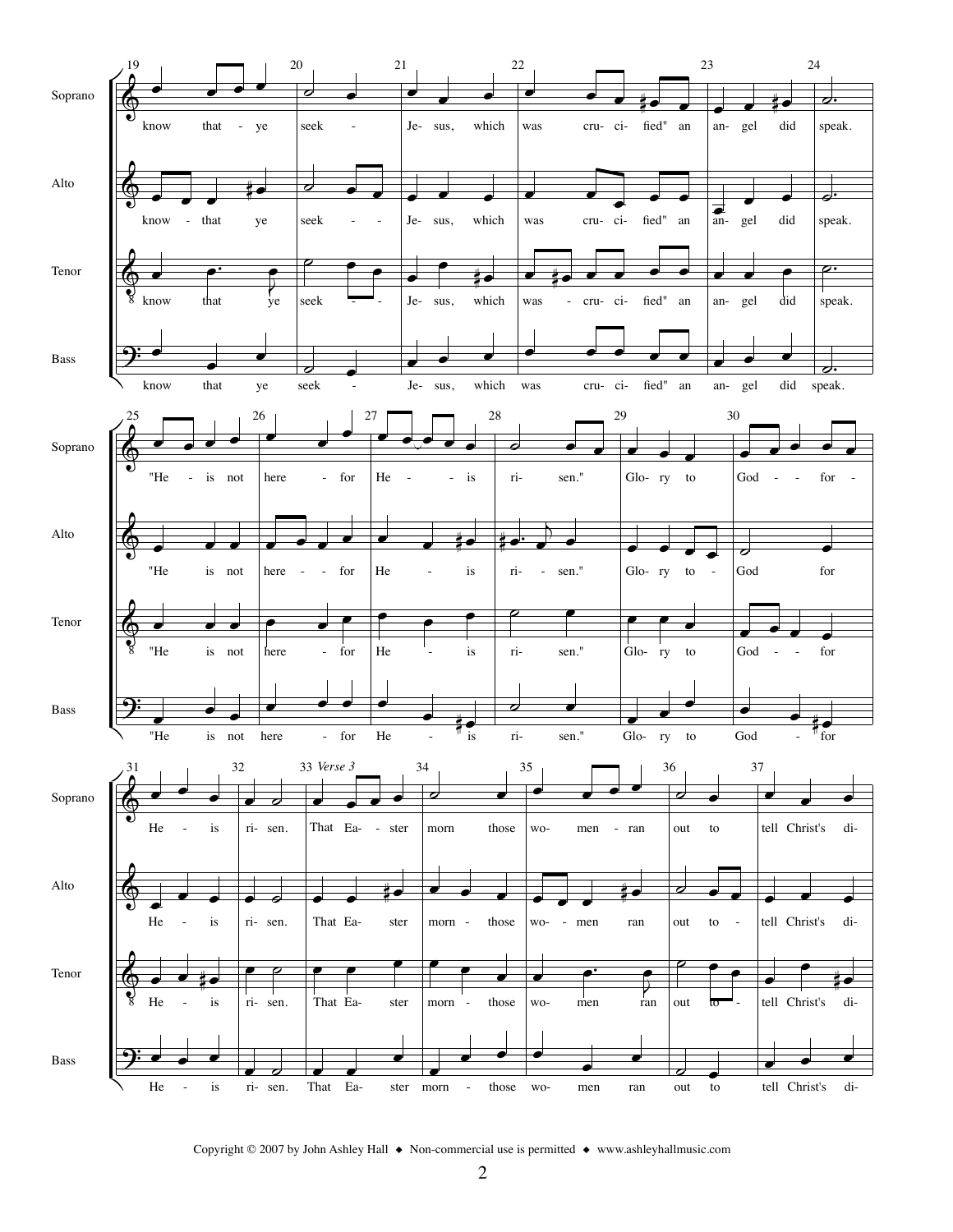

Copyright © 2007 by John Ashley Hall ◆ Non-commercial use is permitted ◆ www.ashleyhallmusic.com